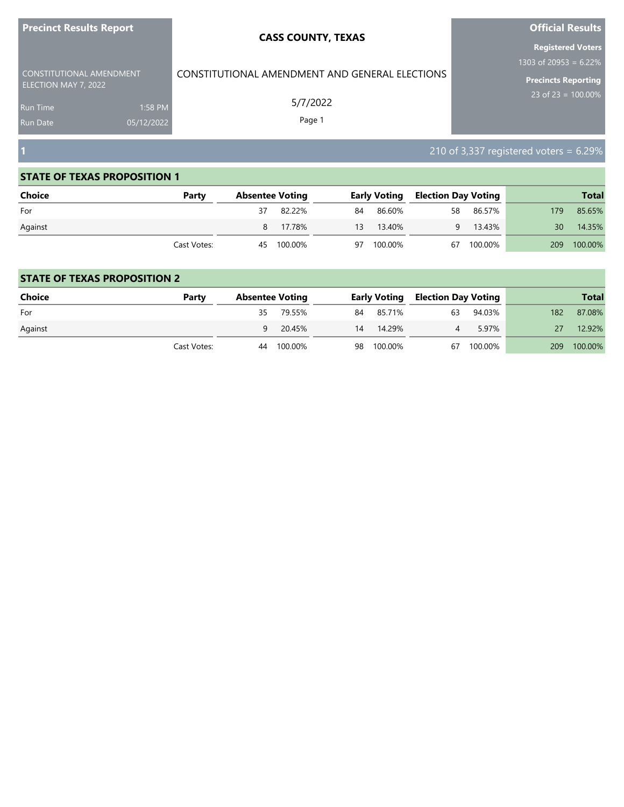| <b>Precinct Results Report</b>                   |            | <b>CASS COUNTY, TEXAS</b>                      | <b>Official Results</b>                   |
|--------------------------------------------------|------------|------------------------------------------------|-------------------------------------------|
|                                                  |            |                                                | <b>Registered Voters</b>                  |
|                                                  |            |                                                | 1303 of 20953 = 6.22%                     |
| CONSTITUTIONAL AMENDMENT<br>ELECTION MAY 7, 2022 |            | CONSTITUTIONAL AMENDMENT AND GENERAL ELECTIONS | <b>Precincts Reporting</b>                |
| <b>Run Time</b>                                  | 1:58 PM    | 5/7/2022                                       | 23 of $23 = 100.00\%$                     |
| <b>Run Date</b>                                  | 05/12/2022 | Page 1                                         |                                           |
|                                                  |            |                                                |                                           |
| Г                                                |            |                                                | 210 of 3,337 registered voters = $6.29\%$ |

| <b>Choice</b> | Party       | <b>Absentee Voting</b> |    | <b>Early Voting</b> | <b>Election Day Voting</b> |            |      | <b>Total</b> |
|---------------|-------------|------------------------|----|---------------------|----------------------------|------------|------|--------------|
| For           |             | 82.22%                 | 84 | 86.60%              | 58                         | 86.57%     | 179. | 85.65%       |
| Against       |             | 8 17.78%               | 13 | 13.40%              | 9                          | 13.43%     | 30   | 14.35%       |
|               | Cast Votes: | 45 100.00%             | 97 | 100.00%             |                            | 67 100.00% | 209  | 100.00%      |

| Choice  | Party       | <b>Absentee Voting</b> |         |    |            | <b>Early Voting Election Day Voting</b> |         |     | <b>Total</b> |
|---------|-------------|------------------------|---------|----|------------|-----------------------------------------|---------|-----|--------------|
| For     |             | 35                     | 79.55%  |    | 84 85.71%  | 63                                      | 94.03%  | 182 | 87.08%       |
| Against |             | 9                      | 20.45%  | 14 | 14.29%     |                                         | 5.97%   |     | 12.92%       |
|         | Cast Votes: | 44                     | 100.00% |    | 98 100.00% | 67                                      | 100.00% | 209 | 100.00%      |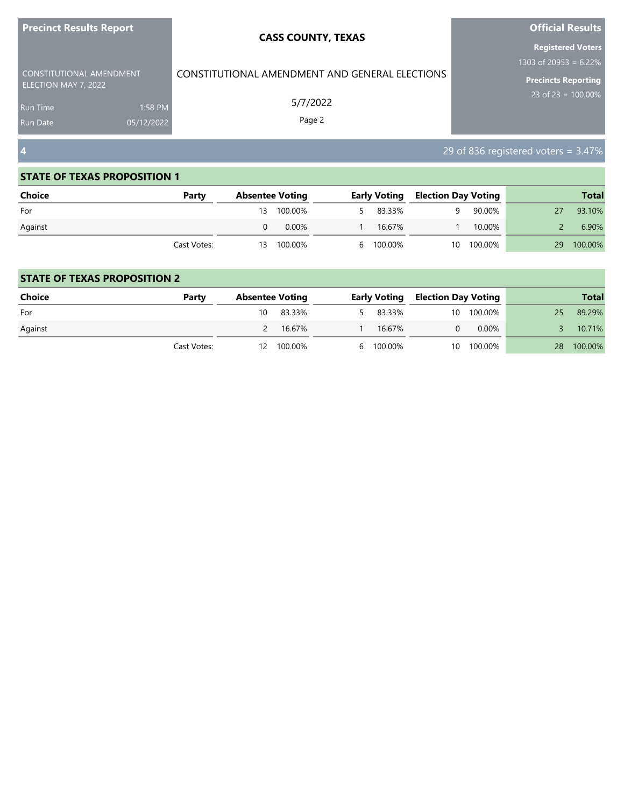| <b>Precinct Results Report</b>                   |                       | <b>CASS COUNTY, TEXAS</b>                      | <b>Official Results</b>                         |
|--------------------------------------------------|-----------------------|------------------------------------------------|-------------------------------------------------|
|                                                  |                       |                                                | <b>Registered Voters</b>                        |
| CONSTITUTIONAL AMENDMENT<br>ELECTION MAY 7, 2022 |                       | CONSTITUTIONAL AMENDMENT AND GENERAL ELECTIONS | 1303 of 20953 = $6.22\%$<br>Precincts Reporting |
| <b>Run Time</b><br><b>Run Date</b>               | 1:58 PM<br>05/12/2022 | 5/7/2022<br>Page 2                             | 23 of 23 = $100.00\%$                           |
| $\vert$ 4                                        |                       |                                                | 29 of 836 registered voters = $3.47\%$          |

٠

#### **STATE OF TEXAS PROPOSITION 1**

| <b>Choice</b> | Party       |    | <b>Absentee Voting</b> |           | <b>Early Voting Election Day Voting</b> |         |    | <b>Total</b> |
|---------------|-------------|----|------------------------|-----------|-----------------------------------------|---------|----|--------------|
| For           |             | 13 | 100.00%                | 5 83.33%  | a                                       | 90.00%  | 27 | 93.10%       |
| Against       |             |    | 0.00%                  | 16.67%    |                                         | 10.00%  |    | 6.90%        |
|               | Cast Votes: | 13 | 100.00%                | 6 100.00% | 10                                      | 100.00% | 29 | 100.00%      |

| <b>Choice</b> | Party       |    | <b>Absentee Voting</b> |        | <b>Early Voting</b> | <b>Election Day Voting</b> |            |                 | <b>Total</b> |
|---------------|-------------|----|------------------------|--------|---------------------|----------------------------|------------|-----------------|--------------|
| For           |             | 10 | 83.33%                 | $\sim$ | 83.33%              |                            | 10 100.00% | 25              | 89.29%       |
| Against       |             |    | 16.67%                 |        | 16.67%              |                            | $0.00\%$   |                 | 10.71%       |
|               | Cast Votes: |    | 12 100.00%             |        | 6 100.00%           |                            | 10 100.00% | 28 <sub>1</sub> | 100.00%      |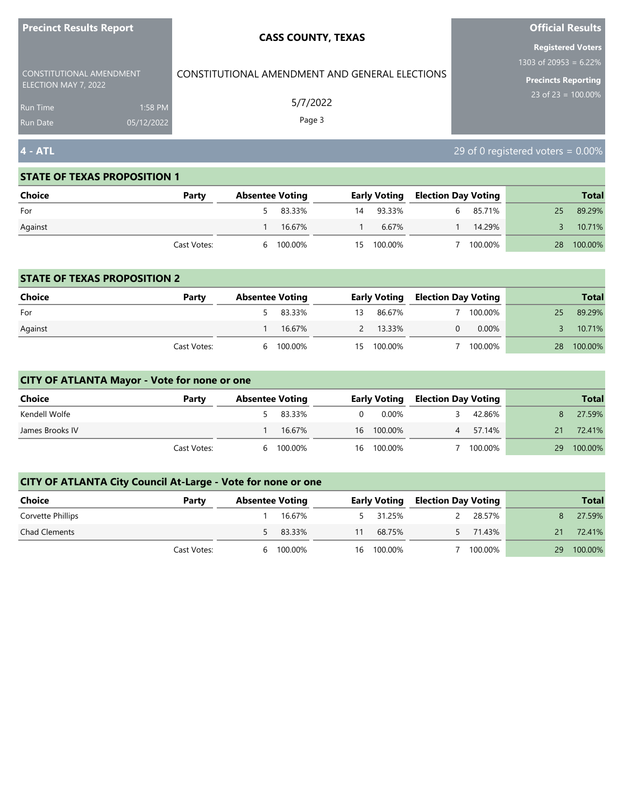| <b>Precinct Results Report</b>                                                      |  | <b>CASS COUNTY, TEXAS</b>                      | <b>Official Results</b>                                                            |
|-------------------------------------------------------------------------------------|--|------------------------------------------------|------------------------------------------------------------------------------------|
| CONSTITUTIONAL AMENDMENT                                                            |  | CONSTITUTIONAL AMENDMENT AND GENERAL ELECTIONS | <b>Registered Voters</b><br>1303 of 20953 = $6.22\%$<br><b>Precincts Reporting</b> |
| ELECTION MAY 7, 2022<br>1:58 PM<br><b>Run Time</b><br>05/12/2022<br><b>Run Date</b> |  | 5/7/2022<br>Page 3                             | 23 of 23 = $100.00\%$                                                              |
| $4 - ATL$                                                                           |  |                                                | 29 of 0 registered voters = $0.00\%$                                               |

| Choice  | Party       | <b>Absentee Voting</b> |           |            | <b>Early Voting Election Day Voting</b> |          |    | <b>Total</b> |
|---------|-------------|------------------------|-----------|------------|-----------------------------------------|----------|----|--------------|
| For     |             |                        | 5 83.33%  | 14 93.33%  |                                         | 6 85.71% | 25 | 89.29%       |
| Against |             |                        | 16.67%    | 6.67%      |                                         | 14.29%   |    | 10.71%       |
|         | Cast Votes: |                        | 6 100.00% | 15 100.00% |                                         | 100.00%  | 28 | 100.00%      |

#### **STATE OF TEXAS PROPOSITION 2**

| Choice  | Party       | <b>Absentee Voting</b> |          |     |            | <b>Early Voting Election Day Voting</b> |          |    | <b>Total</b> |
|---------|-------------|------------------------|----------|-----|------------|-----------------------------------------|----------|----|--------------|
| For     |             |                        | 5 83.33% | 13. | 86.67%     |                                         | 100.00%  | 25 | 89.29%       |
| Against |             |                        | 16.67%   | 2   | 13.33%     |                                         | $0.00\%$ |    | 10.71%       |
|         | Cast Votes: | 6                      | 100.00%  |     | 15 100.00% |                                         | 100.00%  | 28 | 100.00%      |

# **CITY OF ATLANTA Mayor - Vote for none or one**

| Choice          | Party       |   | <b>Absentee Voting</b> |          | <b>Early Voting</b> | Election Day Voting |         |    | <b>Total</b> |
|-----------------|-------------|---|------------------------|----------|---------------------|---------------------|---------|----|--------------|
| Kendell Wolfe   |             |   | 83.33%                 | $\Omega$ | 0.00%               |                     | 42.86%  |    | 27.59%       |
| James Brooks IV |             |   | 16.67%                 |          | 16 100.00%          |                     | 57.14%  | 21 | 72.41%       |
|                 | Cast Votes: | h | 100.00%                | 16       | 100.00%             |                     | 100.00% | 29 | 100.00%      |

| <b>Choice</b>        | Party       | <b>Absentee Voting</b> |          |    |            | <b>Early Voting Election Day Voting</b> |          |      | <b>Total</b> |
|----------------------|-------------|------------------------|----------|----|------------|-----------------------------------------|----------|------|--------------|
| Corvette Phillips    |             |                        | 16.67%   |    | 5 31.25%   | 2                                       | 28.57%   |      | 27.59%       |
| <b>Chad Clements</b> |             |                        | 5 83.33% | 11 | 68.75%     |                                         | 5 71.43% | 21 - | 72.41%       |
|                      | Cast Votes: | h.                     | 100.00%  |    | 16 100.00% |                                         | 100.00%  | 29   | 100.00%      |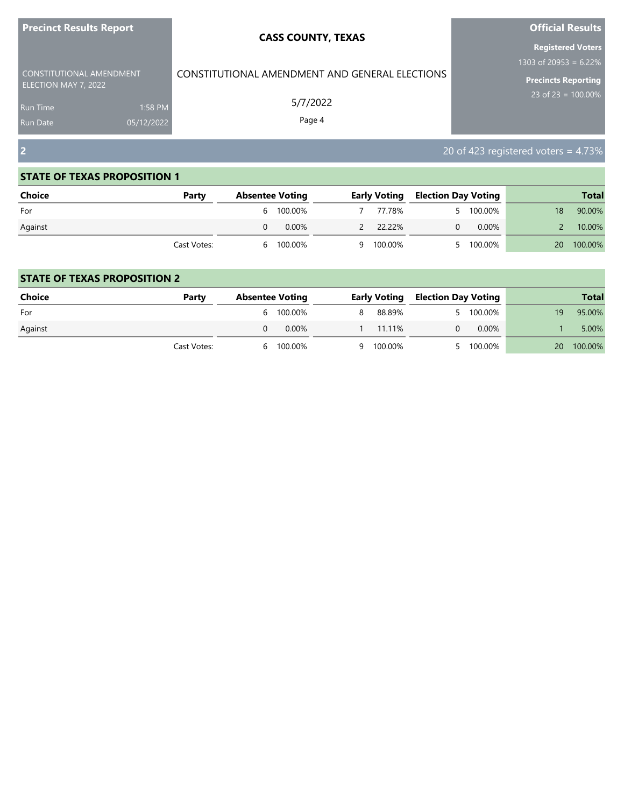| <b>Precinct Results Report</b>               |                       | <b>CASS COUNTY, TEXAS</b>                      | <b>Official Results</b>                                                     |
|----------------------------------------------|-----------------------|------------------------------------------------|-----------------------------------------------------------------------------|
| CONSTITUTIONAL AMENDMENT                     |                       | CONSTITUTIONAL AMENDMENT AND GENERAL ELECTIONS | <b>Registered Voters</b><br>1303 of 20953 = $6.22\%$<br>Precincts Reporting |
| ELECTION MAY 7, 2022<br>Run Time<br>Run Date | 1:58 PM<br>05/12/2022 | 5/7/2022<br>Page 4                             | 23 of 23 = $100.00\%$                                                       |
| $\overline{2}$                               |                       |                                                | 20 of 423 registered voters = $4.73\%$                                      |

| <b>Choice</b> | Party       | <b>Absentee Voting</b> |           | <b>Early Voting Election Day Voting</b> |           |           | <b>Total</b> |
|---------------|-------------|------------------------|-----------|-----------------------------------------|-----------|-----------|--------------|
| For           |             | 6 100.00%              | 77.78%    |                                         | 5 100.00% | 18        | 90.00%       |
| Against       |             | 0.00%                  | 2 22.22%  | 0                                       | $0.00\%$  |           | 10.00%       |
|               | Cast Votes: | 6 100.00%              | 9 100.00% |                                         | 100.00%   | <b>20</b> | 100.00%      |

| <b>Choice</b> | Party       | <b>Absentee Voting</b> |           | Early Voting | <b>Election Day Voting</b> |         |     | <b>Total</b> |
|---------------|-------------|------------------------|-----------|--------------|----------------------------|---------|-----|--------------|
| For           |             |                        | 6 100.00% | 88.89%       |                            | 100.00% | 19. | 95.00%       |
| Against       |             |                        | $0.00\%$  | 11.11%       |                            | 0.00%   |     | 5.00%        |
|               | Cast Votes: | <sub>h</sub>           | 100.00%   | 9 100.00%    |                            | 100.00% | 20  | 100.00%      |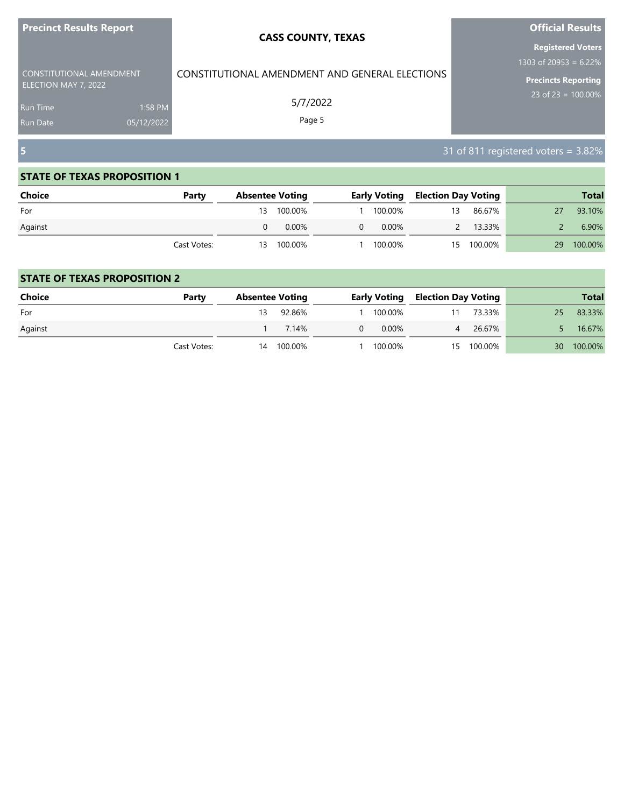| <b>Precinct Results Report</b>               |                       | <b>CASS COUNTY, TEXAS</b>                      | <b>Official Results</b>                                                     |
|----------------------------------------------|-----------------------|------------------------------------------------|-----------------------------------------------------------------------------|
| CONSTITUTIONAL AMENDMENT                     |                       | CONSTITUTIONAL AMENDMENT AND GENERAL ELECTIONS | <b>Registered Voters</b><br>1303 of 20953 = $6.22\%$<br>Precincts Reporting |
| ELECTION MAY 7, 2022<br>Run Time<br>Run Date | 1:58 PM<br>05/12/2022 | 5/7/2022<br>Page 5                             | 23 of 23 = $100.00\%$                                                       |
| $\overline{\mathbf{5}}$                      |                       |                                                | 31 of 811 registered voters = 3.82%                                         |

| <b>Choice</b> | Party       |   | <b>Absentee Voting</b> |          | <b>Early Voting</b> | <b>Election Day Voting</b> |            |    | <b>Total</b> |
|---------------|-------------|---|------------------------|----------|---------------------|----------------------------|------------|----|--------------|
| For           |             |   | 13 100.00%             |          | 100.00%             | 13                         | 86.67%     |    | 93.10%       |
| Against       |             | 0 | $0.00\%$               | $\Omega$ | $0.00\%$            |                            | 13.33%     |    | 6.90%        |
|               | Cast Votes: |   | 13 100.00%             |          | 100.00%             |                            | 15 100.00% | 29 | 100.00%      |

| <b>Choice</b> | Party       | <b>Absentee Voting</b> |         |   | <b>Early Voting</b> | <b>Election Day Voting</b> |            |    | <b>Total</b> |
|---------------|-------------|------------------------|---------|---|---------------------|----------------------------|------------|----|--------------|
| For           |             |                        | 92.86%  |   | 100.00%             |                            | 73.33%     | 25 | 83.33%       |
| Against       |             |                        | 7.14%   | 0 | $0.00\%$            |                            | 26.67%     |    | 16.67%       |
|               | Cast Votes: | 14                     | 100.00% |   | 100.00%             |                            | 15 100.00% | 30 | 100.00%      |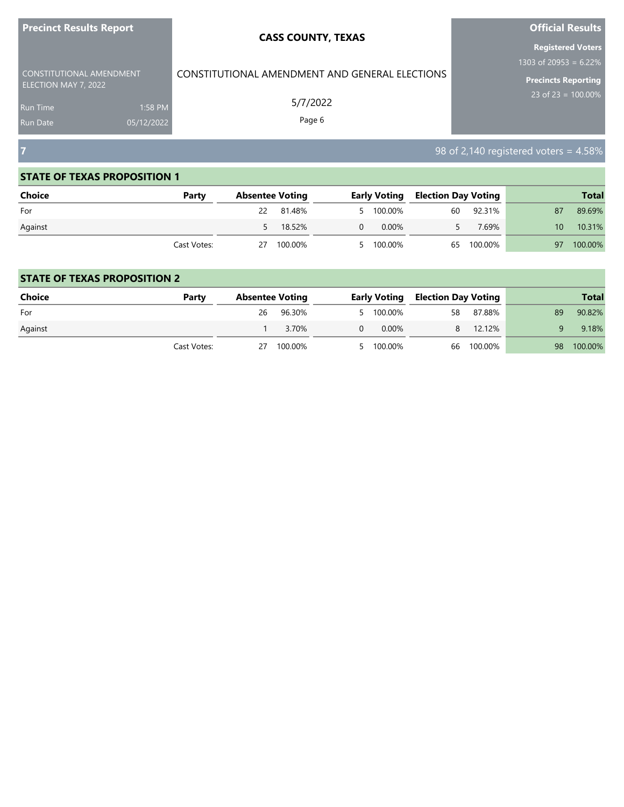| <b>Precinct Results Report</b>                   | <b>CASS COUNTY, TEXAS</b>                      | <b>Official Results</b>                 |
|--------------------------------------------------|------------------------------------------------|-----------------------------------------|
|                                                  |                                                | <b>Registered Voters</b>                |
|                                                  |                                                | 1303 of 20953 = $6.22\%$                |
| CONSTITUTIONAL AMENDMENT<br>ELECTION MAY 7, 2022 | CONSTITUTIONAL AMENDMENT AND GENERAL ELECTIONS | <b>Precincts Reporting</b>              |
| 1:58 PM<br><b>Run Time</b>                       | 5/7/2022                                       | $23$ of 23 = 100.00%                    |
| 05/12/2022<br><b>Run Date</b>                    | Page 6                                         |                                         |
| 7                                                |                                                | $98$ of 2,140 registered voters = 4.58% |

and the control of the control of the control of the control of the control of

## **STATE OF TEXAS PROPOSITION 1**

a sa kacamatan ing Kabupatèn Kabupatèn Kabupatèn Kabupatèn Kabupatèn Kabupatèn Kabupatèn Kabupatèn Kabupatèn K

| Choice  | Party       |    | <b>Absentee Voting</b> |          |           | <b>Early Voting Election Day Voting</b> |            |    | <b>Total</b> |
|---------|-------------|----|------------------------|----------|-----------|-----------------------------------------|------------|----|--------------|
| For     |             |    | 22 81.48%              |          | 5 100.00% | 60                                      | 92.31%     | 87 | 89.69%       |
| Against |             |    | 18.52%                 | $\Omega$ | 0.00%     |                                         | 7.69%      | 10 | 10.31%       |
|         | Cast Votes: | 27 | 100.00%                |          | 5 100.00% |                                         | 65 100.00% | 97 | 100.00%      |

| <b>Choice</b> | Party       | <b>Absentee Voting</b> |         |   | <b>Early Voting</b> | <b>Election Day Voting</b> |            |    | <b>Total</b> |
|---------------|-------------|------------------------|---------|---|---------------------|----------------------------|------------|----|--------------|
| For           |             | 26                     | 96.30%  |   | 5 100.00%           | 58                         | 87.88%     | 89 | 90.82%       |
| Against       |             |                        | 3.70%   | 0 | $0.00\%$            | 8                          | 12.12%     |    | 9.18%        |
|               | Cast Votes: | 27                     | 100.00% |   | 5 100.00%           |                            | 66 100.00% | 98 | 100.00%      |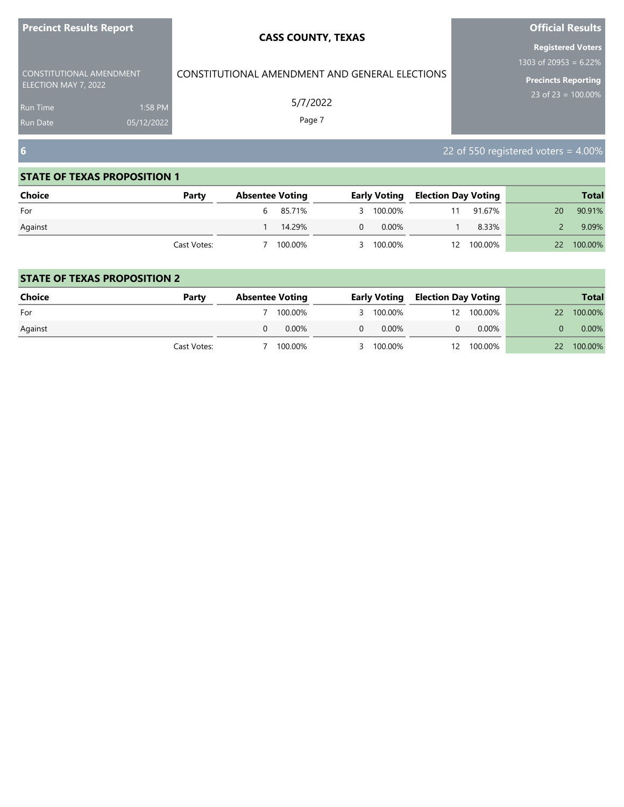| <b>Precinct Results Report</b>               |                       | <b>CASS COUNTY, TEXAS</b>                      | <b>Official Results</b>                                                     |
|----------------------------------------------|-----------------------|------------------------------------------------|-----------------------------------------------------------------------------|
| CONSTITUTIONAL AMENDMENT                     |                       | CONSTITUTIONAL AMENDMENT AND GENERAL ELECTIONS | <b>Registered Voters</b><br>1303 of 20953 = $6.22\%$<br>Precincts Reporting |
| ELECTION MAY 7, 2022<br>Run Time<br>Run Date | 1:58 PM<br>05/12/2022 | 5/7/2022<br>Page 7                             | 23 of 23 = $100.00\%$                                                       |
|                                              |                       |                                                | 22 of 550 registered voters = $4.00\%$                                      |

٠

#### **STATE OF TEXAS PROPOSITION 1**

| <b>Choice</b> | Party       | <b>Absentee Voting</b> |          |   |           | <b>Early Voting Election Day Voting</b> |            |           | <b>Total</b> |
|---------------|-------------|------------------------|----------|---|-----------|-----------------------------------------|------------|-----------|--------------|
| For           |             |                        | 6 85.71% |   | 3 100.00% | 11                                      | 91.67%     | 20        | 90.91%       |
| Against       |             |                        | 14.29%   | 0 | $0.00\%$  |                                         | 8.33%      |           | 9.09%        |
|               | Cast Votes: |                        | 100.00%  |   | 3 100.00% |                                         | 12 100.00% | <b>22</b> | 100.00%      |

| <b>Choice</b> | Party       | <b>Absentee Voting</b> |          |   | <b>Early Voting</b> | <b>Election Day Voting</b> |            |           | <b>Total</b> |
|---------------|-------------|------------------------|----------|---|---------------------|----------------------------|------------|-----------|--------------|
| For           |             |                        | 100.00%  |   | 3 100.00%           |                            | 12 100.00% | 22        | 100.00%      |
| Against       |             |                        | $0.00\%$ | 0 | $0.00\%$            |                            | $0.00\%$   |           | 0.00%        |
|               | Cast Votes: |                        | 100.00%  |   | 3 100.00%           |                            | 12 100.00% | <b>22</b> | 100.00%      |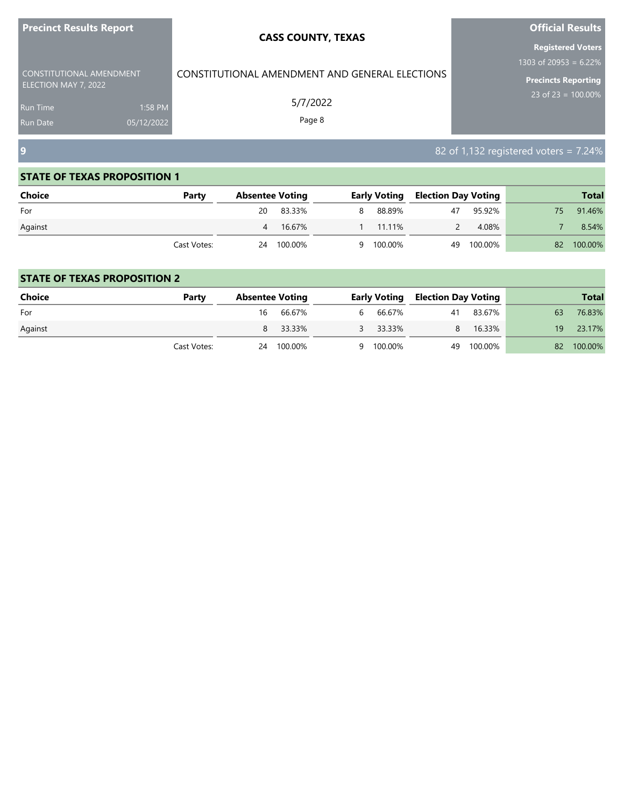| <b>Precinct Results Report</b>                   |            | <b>CASS COUNTY, TEXAS</b>                      | <b>Official Results</b>                  |
|--------------------------------------------------|------------|------------------------------------------------|------------------------------------------|
|                                                  |            |                                                | <b>Registered Voters</b>                 |
|                                                  |            |                                                | 1303 of 20953 = $6.22\%$                 |
| CONSTITUTIONAL AMENDMENT<br>ELECTION MAY 7, 2022 |            | CONSTITUTIONAL AMENDMENT AND GENERAL ELECTIONS | <b>Precincts Reporting</b>               |
| <b>Run Time</b>                                  | 1:58 PM    | 5/7/2022                                       | $23$ of 23 = 100.00%                     |
| <b>Run Date</b>                                  | 05/12/2022 | Page 8                                         |                                          |
| $\overline{9}$                                   |            |                                                | 82 of 1,132 registered voters = $7.24\%$ |

**College** 

٠

#### **STATE OF TEXAS PROPOSITION 1**

and the state of the state of the state of the

| Choice  | Party       | <b>Absentee Voting</b> |            |    |           |    | <b>Early Voting Election Day Voting</b> |     | <b>Total</b> |
|---------|-------------|------------------------|------------|----|-----------|----|-----------------------------------------|-----|--------------|
| For     |             | 20                     | 83.33%     | 8  | 88.89%    | 47 | 95.92%                                  | 75. | 91.46%       |
| Against |             |                        | 4 16.67%   | l. | 11.11%    |    | 4.08%                                   |     | 8.54%        |
|         | Cast Votes: |                        | 24 100.00% |    | 9 100.00% |    | 49 100.00%                              | 82  | 100.00%      |

| Choice  | Party       | <b>Absentee Voting</b> |            |   |           |    | <b>Early Voting Election Day Voting</b> |     | <b>Total</b> |
|---------|-------------|------------------------|------------|---|-----------|----|-----------------------------------------|-----|--------------|
| For     |             | 16                     | 66.67%     | 6 | 66.67%    | 41 | 83.67%                                  | 63  | 76.83%       |
| Against |             |                        | 8 33.33%   |   | 3 33.33%  | 8. | 16.33%                                  | 19. | 23.17%       |
|         | Cast Votes: |                        | 24 100.00% |   | 9 100.00% | 49 | 100.00%                                 | 82  | 100.00%      |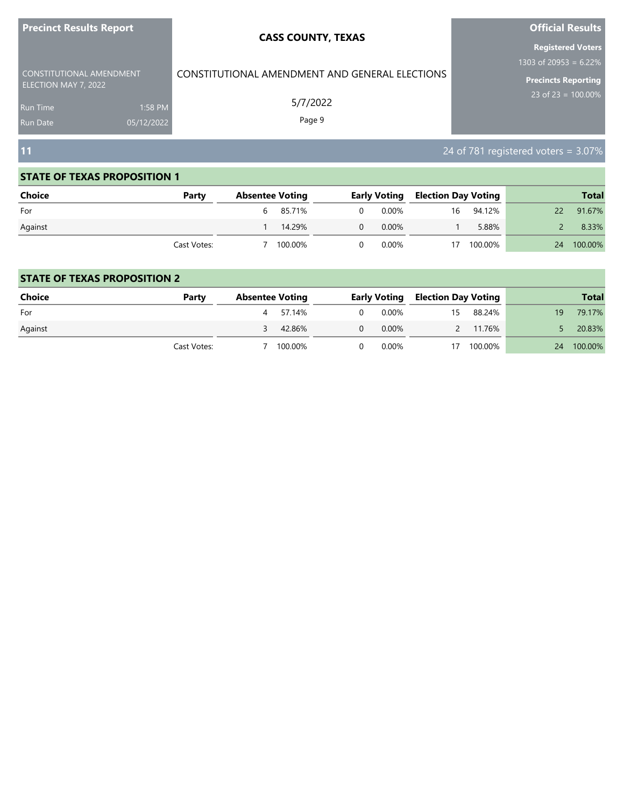| <b>Precinct Results Report</b>                                                         |                       | <b>CASS COUNTY, TEXAS</b>                                            | <b>Official Results</b><br><b>Registered Voters</b>                      |
|----------------------------------------------------------------------------------------|-----------------------|----------------------------------------------------------------------|--------------------------------------------------------------------------|
| CONSTITUTIONAL AMENDMENT<br>ELECTION MAY 7, 2022<br><b>Run Time</b><br><b>Run Date</b> | 1:58 PM<br>05/12/2022 | CONSTITUTIONAL AMENDMENT AND GENERAL ELECTIONS<br>5/7/2022<br>Page 9 | 1303 of 20953 = $6.22\%$<br>Precincts Reporting<br>23 of 23 = $100.00\%$ |
| 11                                                                                     |                       |                                                                      | 24 of 781 registered voters = 3.07%                                      |

| <b>Choice</b> | Party       | <b>Absentee Voting</b> |          |          | <b>Early Voting Election Day Voting</b> |    |         | <b>Total</b> |         |  |
|---------------|-------------|------------------------|----------|----------|-----------------------------------------|----|---------|--------------|---------|--|
| For           |             |                        | 6 85.71% | $\Omega$ | 0.00%                                   | 16 | 94.12%  | 22           | 91.67%  |  |
| Against       |             |                        | 14.29%   | $\Omega$ | $0.00\%$                                |    | 5.88%   |              | 8.33%   |  |
|               | Cast Votes: |                        | 100.00%  | 0        | 0.00%                                   | 17 | 100.00% | 24           | 100.00% |  |

| <b>Choice</b> | Party       | <b>Absentee Voting</b> |          |          | <b>Early Voting Election Day Voting</b> |    |            |    | <b>Total</b> |
|---------------|-------------|------------------------|----------|----------|-----------------------------------------|----|------------|----|--------------|
| For           |             |                        | 4 57.14% | $\Omega$ | 0.00%                                   | 15 | 88.24%     | 19 | 79.17%       |
| Against       |             |                        | 42.86%   | $\Omega$ | 0.00%                                   | 2  | 11.76%     |    | 20.83%       |
|               | Cast Votes: |                        | 100.00%  |          | 0.00%                                   |    | 17 100.00% |    | 24 100.00%   |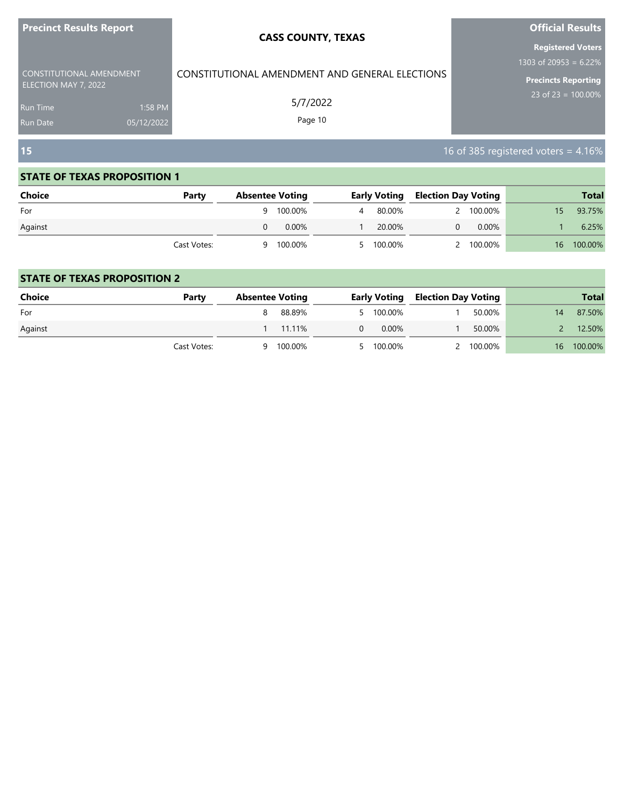| <b>Precinct Results Report</b>                          |                       | <b>CASS COUNTY, TEXAS</b>                      | <b>Official Results</b>                                                            |
|---------------------------------------------------------|-----------------------|------------------------------------------------|------------------------------------------------------------------------------------|
| <b>CONSTITUTIONAL AMENDMENT</b><br>ELECTION MAY 7, 2022 |                       | CONSTITUTIONAL AMENDMENT AND GENERAL ELECTIONS | <b>Registered Voters</b><br>1303 of 20953 = $6.22\%$<br><b>Precincts Reporting</b> |
| <b>Run Time</b><br><b>Run Date</b>                      | 1:58 PM<br>05/12/2022 | 5/7/2022<br>Page 10                            | 23 of 23 = $100.00\%$                                                              |
| 15                                                      |                       |                                                | 16 of 385 registered voters = 4.16%                                                |

| <b>Choice</b> | Party       | <b>Absentee Voting</b> |           |   | <b>Early Voting</b> |  | <b>Election Day Voting</b> | <b>Total</b> |
|---------------|-------------|------------------------|-----------|---|---------------------|--|----------------------------|--------------|
| For           |             |                        | 9 100.00% | 4 | 80.00%              |  | 2 100.00%                  | 93.75%       |
| Against       |             |                        | $0.00\%$  |   | 20.00%              |  | 0.00%                      | 6.25%        |
|               | Cast Votes: | q                      | 100.00%   |   | 5 100.00%           |  | 2 100.00%                  | 16 100.00%   |

| <b>Choice</b> | Party       | <b>Absentee Voting</b> |         | Early Voting |  | <b>Election Day Voting</b> |    | <b>Total</b> |
|---------------|-------------|------------------------|---------|--------------|--|----------------------------|----|--------------|
| For           |             |                        | 88.89%  | 5 100.00%    |  | 50.00%                     |    | 87.50%       |
| Against       |             |                        | 11.11%  | $0.00\%$     |  | 50.00%                     |    | 12.50%       |
|               | Cast Votes: | a                      | 100.00% | 5 100.00%    |  | 2 100.00%                  | 16 | 100.00%      |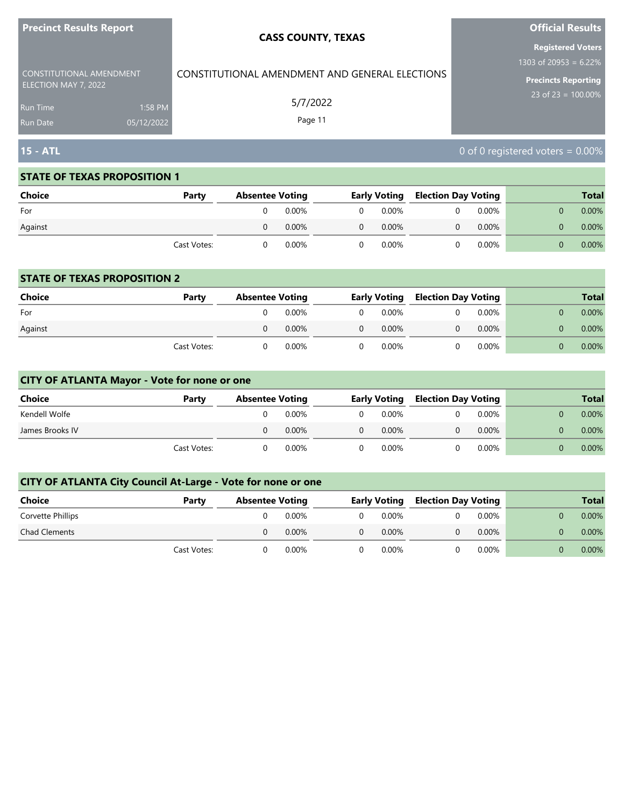| <u>FICUILLE NESUIS NEPULE</u>                    |                       | <b>CASS COUNTY, TEXAS</b>                      | <b>PHILIP NESULS</b><br><b>Registered Voters</b>       |
|--------------------------------------------------|-----------------------|------------------------------------------------|--------------------------------------------------------|
| CONSTITUTIONAL AMENDMENT<br>ELECTION MAY 7, 2022 |                       | CONSTITUTIONAL AMENDMENT AND GENERAL ELECTIONS | 1303 of 20953 = $6.22\%$<br><b>Precincts Reporting</b> |
| <b>Run Time</b><br><b>Run Date</b>               | 1:58 PM<br>05/12/2022 | 5/7/2022<br>Page 11                            | 23 of $23 = 100.00\%$                                  |
| <b>15 - ATL</b>                                  |                       |                                                | 0 of 0 registered voters = $0.00\%$                    |

**Official Results**

#### **STATE OF TEXAS PROPOSITION 1**

**Precinct Results Report**

| <b>Choice</b> | Party       | <b>Absentee Voting</b> |          | <b>Early Voting</b> |  | Election Day Voting |  | <b>Total</b> |
|---------------|-------------|------------------------|----------|---------------------|--|---------------------|--|--------------|
| For           |             | $0.00\%$               | 0        | $0.00\%$            |  | $0.00\%$            |  | $0.00\%$     |
| Against       |             | $0.00\%$               | $\Omega$ | $0.00\%$            |  | $0.00\%$            |  | $0.00\%$     |
|               | Cast Votes: | 0.00%                  | 0.       | 0.00%               |  | $0.00\%$            |  | $0.00\%$     |

#### **STATE OF TEXAS PROPOSITION 2**

| Choice  | Party       | <b>Absentee Voting</b> |          |          | <b>Early Voting</b> |  | <b>Election Day Voting</b> |  | <b>Total</b> |
|---------|-------------|------------------------|----------|----------|---------------------|--|----------------------------|--|--------------|
| For     |             |                        | $0.00\%$ | $\Omega$ | 0.00%               |  | $0.00\%$                   |  | $0.00\%$     |
| Against |             |                        | $0.00\%$ | $\Omega$ | $0.00\%$            |  | $0.00\%$                   |  | $0.00\%$     |
|         | Cast Votes: |                        | $0.00\%$ |          | $0.00\%$            |  | $0.00\%$                   |  | $0.00\%$     |

## **CITY OF ATLANTA Mayor - Vote for none or one**

| Choice          | Party       | <b>Absentee Voting</b> |          |          | <b>Early Voting</b> |  | <b>Election Day Voting</b> |  |  | <b>Total</b> |
|-----------------|-------------|------------------------|----------|----------|---------------------|--|----------------------------|--|--|--------------|
| Kendell Wolfe   |             |                        | 0.00%    | $\Omega$ | 0.00%               |  | $0.00\%$                   |  |  | $0.00\%$     |
| James Brooks IV |             |                        | $0.00\%$ | $\Omega$ | $0.00\%$            |  | $0.00\%$                   |  |  | $0.00\%$     |
|                 | Cast Votes: |                        | 0.00%    |          | $0.00\%$            |  | $0.00\%$                   |  |  | $0.00\%$     |

| <b>Choice</b>        | Party       | <b>Absentee Voting</b> |          |          | <b>Early Voting</b> | <b>Election Day Voting</b> |       |  | <b>Total</b> |
|----------------------|-------------|------------------------|----------|----------|---------------------|----------------------------|-------|--|--------------|
| Corvette Phillips    |             |                        | 0.00%    | $\Omega$ | 0.00%               |                            | 0.00% |  | $0.00\%$     |
| <b>Chad Clements</b> |             | O                      | $0.00\%$ | $\Omega$ | $0.00\%$            |                            | 0.00% |  | $0.00\%$     |
|                      | Cast Votes: |                        | 0.00%    | $\Omega$ | 0.00%               |                            | 0.00% |  | $0.00\%$     |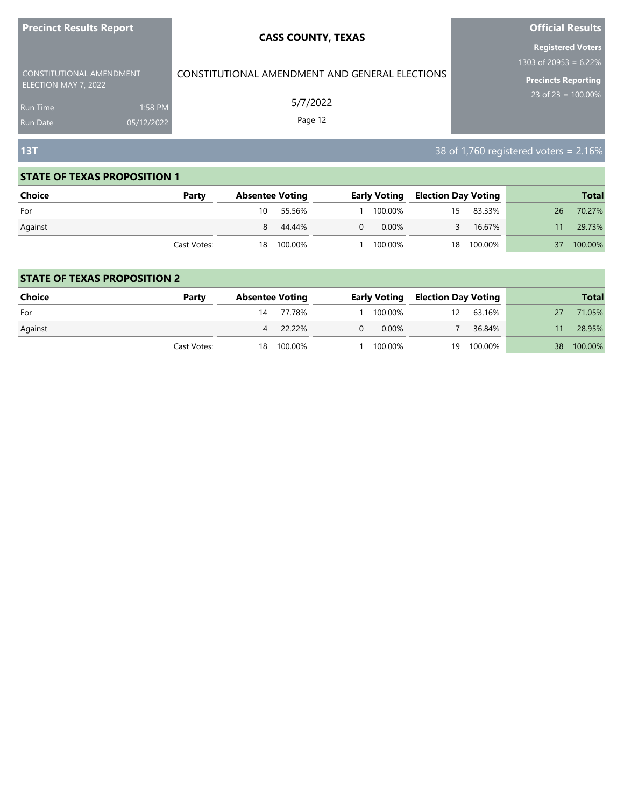| <b>Precinct Results Report</b> |            | <b>CASS COUNTY, TEXAS</b>                      | <b>Official Results</b>                           |
|--------------------------------|------------|------------------------------------------------|---------------------------------------------------|
| CONSTITUTIONAL AMENDMENT       |            | CONSTITUTIONAL AMENDMENT AND GENERAL ELECTIONS | <b>Registered Voters</b><br>1303 of 20953 = 6.22% |
| ELECTION MAY 7, 2022           |            |                                                | <b>Precincts Reporting</b>                        |
| <b>Run Time</b>                | 1:58 PM    | 5/7/2022                                       | 23 of 23 = $100.00\%$                             |
| <b>Run Date</b>                | 05/12/2022 | Page 12                                        |                                                   |
| 13T                            |            |                                                | 38 of 1,760 registered voters = $2.16\%$          |

۰

#### **STATE OF TEXAS PROPOSITION 1**

and the state of the state of the state of the state of the state of the

| <b>Choice</b> | Party       |    | <b>Absentee Voting</b> |   |          | <b>Early Voting Election Day Voting</b> |            |    | <b>Total</b> |
|---------------|-------------|----|------------------------|---|----------|-----------------------------------------|------------|----|--------------|
| For           |             | 10 | 55.56%                 |   | 100.00%  | 15                                      | 83.33%     | 26 | 70.27%       |
| Against       |             | 8  | 44.44%                 | 0 | $0.00\%$ | ₹                                       | 16.67%     | 11 | 29.73%       |
|               | Cast Votes: |    | 18 100.00%             |   | 100.00%  |                                         | 18 100.00% | 37 | 100.00%      |

| Choice  | Party       | <b>Absentee Voting</b> |            |   |          | <b>Early Voting Election Day Voting</b> |         |    | <b>Total</b> |
|---------|-------------|------------------------|------------|---|----------|-----------------------------------------|---------|----|--------------|
| For     |             | 14                     | 77.78%     |   | 100.00%  | 12                                      | 63.16%  |    | 71.05%       |
| Against |             | 4                      | 22.22%     | 0 | $0.00\%$ |                                         | 36.84%  |    | 28.95%       |
|         | Cast Votes: |                        | 18 100.00% |   | 100.00%  | 19                                      | 100.00% | 38 | 100.00%      |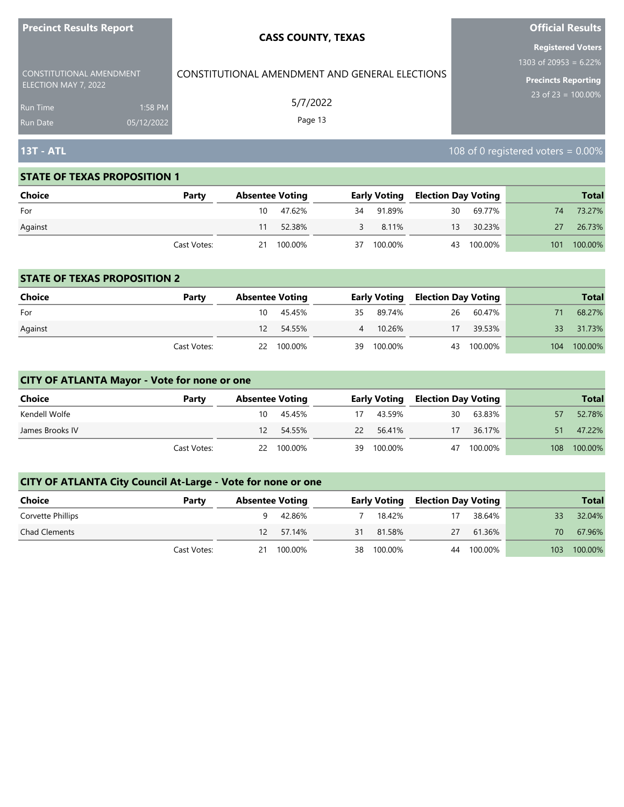| <b>Precinct Results Report</b>                   | <b>CASS COUNTY, TEXAS</b>                      | <b>Official Results</b>  |
|--------------------------------------------------|------------------------------------------------|--------------------------|
|                                                  |                                                | <b>Registered Voters</b> |
|                                                  |                                                | 1303 of 20953 = $6.22\%$ |
| CONSTITUTIONAL AMENDMENT<br>ELECTION MAY 7, 2022 | CONSTITUTIONAL AMENDMENT AND GENERAL ELECTIONS | Precincts Reporting      |
| 1:58 PM<br><b>Run Time</b>                       | 5/7/2022                                       | 23 of 23 = $100.00\%$    |
| 05/12/2022<br><b>Run Date</b>                    | Page 13                                        |                          |

# **13T - ATL** 108 of 0 registered voters = 0.00%

#### **STATE OF TEXAS PROPOSITION 1**

| <b>Choice</b> | Party       |     | <b>Absentee Voting</b> |    |           |    | <b>Early Voting Election Day Voting</b> |     | <b>Total</b> |
|---------------|-------------|-----|------------------------|----|-----------|----|-----------------------------------------|-----|--------------|
| For           |             | 10. | 47.62%                 |    | 34 91.89% |    | 30 69.77%                               | 74  | 73.27%       |
| Against       |             |     | 52.38%                 | 3  | 8.11%     | 13 | 30.23%                                  | 27  | 26.73%       |
|               | Cast Votes: | 21  | 100.00%                | 37 | 100.00%   | 43 | 100.00%                                 | 101 | 100.00%      |

#### **STATE OF TEXAS PROPOSITION 2**

| <b>Choice</b> | Party       | <b>Absentee Voting</b> |            |    |           | <b>Early Voting Election Day Voting</b> |           |     | <b>Total</b> |
|---------------|-------------|------------------------|------------|----|-----------|-----------------------------------------|-----------|-----|--------------|
| For           |             | 10                     | 45.45%     |    | 35 89.74% |                                         | 26 60.47% |     | 68.27%       |
| Against       |             | 12.                    | 54.55%     |    | 4 10.26%  | 17                                      | 39.53%    | 33  | 31.73%       |
|               | Cast Votes: |                        | 22 100.00% | 39 | 100.00%   | 43                                      | 100.00%   | 104 | 100.00%      |

## **CITY OF ATLANTA Mayor - Vote for none or one**

| Choice          | Party       | <b>Absentee Voting</b> |            |    | <b>Early Voting</b> | <b>Election Day Voting</b> |         |     | <b>Total</b> |
|-----------------|-------------|------------------------|------------|----|---------------------|----------------------------|---------|-----|--------------|
| Kendell Wolfe   |             | 10                     | 45.45%     | 17 | 43.59%              | 30                         | 63.83%  | 57  | 52.78%       |
| James Brooks IV |             | 12.                    | 54.55%     |    | 22 56.41%           | 17                         | 36.17%  | 51  | 47.22%       |
|                 | Cast Votes: |                        | 22 100.00% | 39 | 100.00%             | 47                         | 100.00% | 108 | 100.00%      |

| <b>Choice</b>        | Party       |    | <b>Absentee Voting</b> |    | <b>Early Voting</b> | Election Day Voting |         |     | <b>Total</b> |
|----------------------|-------------|----|------------------------|----|---------------------|---------------------|---------|-----|--------------|
| Corvette Phillips    |             |    | 42.86%                 |    | 18.42%              |                     | 38.64%  | 33  | 32.04%       |
| <b>Chad Clements</b> |             | 12 | 57.14%                 | 31 | 81.58%              | 27                  | 61.36%  | 70  | 67.96%       |
|                      | Cast Votes: | 21 | 100.00%                |    | 38 100.00%          | 44                  | 100.00% | 103 | 100.00%      |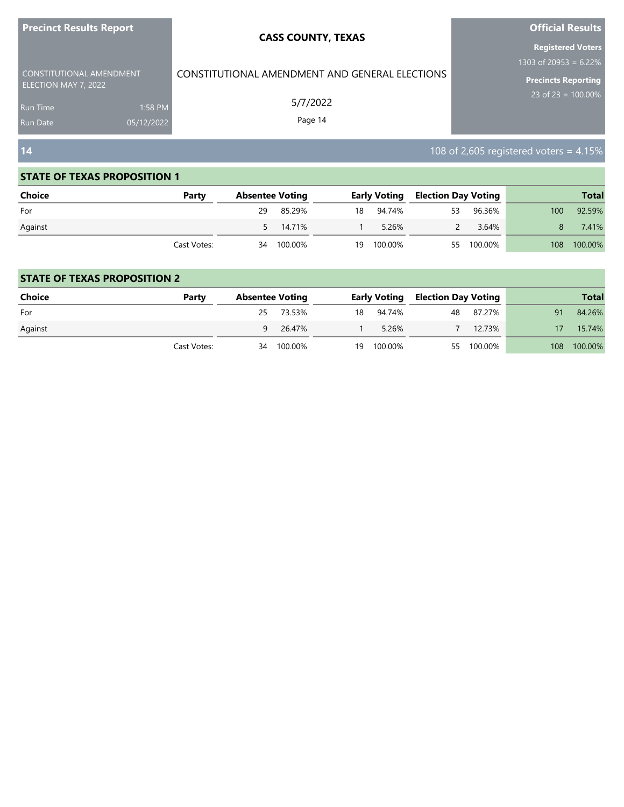| <b>Precinct Results Report</b>                   |            | <b>CASS COUNTY, TEXAS</b>                      | <b>Official Results</b>                              |
|--------------------------------------------------|------------|------------------------------------------------|------------------------------------------------------|
|                                                  |            |                                                | <b>Registered Voters</b><br>1303 of 20953 = $6.22\%$ |
| CONSTITUTIONAL AMENDMENT<br>ELECTION MAY 7, 2022 |            | CONSTITUTIONAL AMENDMENT AND GENERAL ELECTIONS | Precincts Reporting                                  |
| <b>Run Time</b>                                  | 1:58 PM    | 5/7/2022                                       | 23 of 23 = $100.00\%$                                |
| <b>Run Date</b>                                  | 05/12/2022 | Page 14                                        |                                                      |
| 14                                               |            |                                                | 108 of 2,605 registered voters = $4.15\%$            |

a sa kacamatan ing Kabupatèn Kabupatèn Kabupatèn Kabupatèn Kabupatèn Kabupatèn Kabupatèn Kabupatèn Kabupatèn K

| <b>Choice</b> | Party       |    | <b>Absentee Voting</b> |    | <b>Early Voting</b> | <b>Election Day Voting</b> |            |                  | <b>Total</b> |
|---------------|-------------|----|------------------------|----|---------------------|----------------------------|------------|------------------|--------------|
| For           |             | 29 | 85.29%                 |    | 18 94.74%           | 53                         | 96.36%     | 100 <sup>°</sup> | 92.59%       |
| Against       |             |    | 5 14.71%               |    | 5.26%               |                            | 3.64%      |                  | 7.41%        |
|               | Cast Votes: |    | 34 100.00%             | 19 | 100.00%             |                            | 55 100.00% | 108              | 100.00%      |

| Choice  | Party       |    | <b>Absentee Voting</b> |    |           | <b>Early Voting Election Day Voting</b> |            |     | <b>Total</b> |
|---------|-------------|----|------------------------|----|-----------|-----------------------------------------|------------|-----|--------------|
| For     |             | 25 | 73.53%                 |    | 18 94.74% | 48                                      | 87.27%     | 91  | 84.26%       |
| Against |             | 9  | 26.47%                 |    | 5.26%     |                                         | 12.73%     |     | 15.74%       |
|         | Cast Votes: | 34 | 100.00%                | 19 | 100.00%   |                                         | 55 100.00% | 108 | 100.00%      |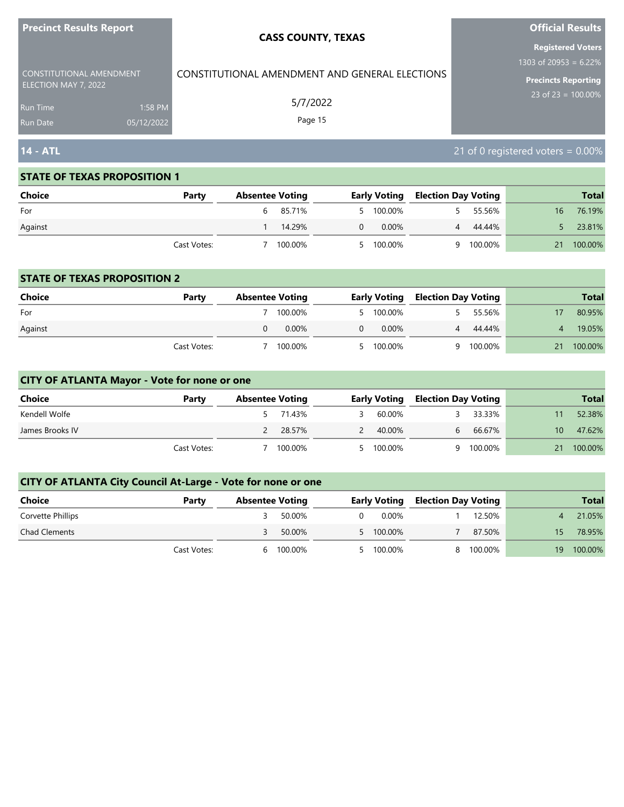| <b>FIGUILL RESULS REPULL</b>                     |            | <b>CASS COUNTY, TEXAS</b>                      | <b>UITTUAL NESULTS</b>               |
|--------------------------------------------------|------------|------------------------------------------------|--------------------------------------|
|                                                  |            |                                                | <b>Registered Voters</b>             |
|                                                  |            |                                                | 1303 of 20953 = $6.22\%$             |
| CONSTITUTIONAL AMENDMENT<br>ELECTION MAY 7, 2022 |            | CONSTITUTIONAL AMENDMENT AND GENERAL ELECTIONS | <b>Precincts Reporting</b>           |
| <b>Run Time</b>                                  | 1:58 PM    | 5/7/2022                                       | 23 of 23 = $100.00\%$                |
| <b>Run Date</b>                                  | 05/12/2022 | Page 15                                        |                                      |
| <b>14 - ATL</b>                                  |            |                                                | 21 of 0 registered voters = $0.00\%$ |

**Official Results**

#### **STATE OF TEXAS PROPOSITION 1**

**Precinct Results Report**

| Choice  | Party       | <b>Absentee Voting</b> |          |          | <b>Early Voting</b> | <b>Election Day Voting</b> |         |    | <b>Total</b> |
|---------|-------------|------------------------|----------|----------|---------------------|----------------------------|---------|----|--------------|
| For     |             |                        | 6 85.71% |          | 5 100.00%           |                            | 55.56%  | 16 | 76.19%       |
| Against |             |                        | 14.29%   | $\Omega$ | $0.00\%$            | $\overline{4}$             | 44.44%  |    | 23.81%       |
|         | Cast Votes: |                        | 100.00%  |          | 5 100.00%           | Q                          | 100.00% | 21 | 100.00%      |

#### **STATE OF TEXAS PROPOSITION 2**

| Choice  | Party       | <b>Absentee Voting</b> |          | <b>Early Voting</b> | <b>Election Day Voting</b> |         |    | <b>Total</b> |
|---------|-------------|------------------------|----------|---------------------|----------------------------|---------|----|--------------|
| For     |             | 100.00%                |          | 5 100.00%           |                            | 55.56%  |    | 80.95%       |
| Against |             | $0.00\%$               | $\Omega$ | 0.00%               |                            | 44.44%  |    | 19.05%       |
|         | Cast Votes: | 100.00%                |          | 5 100.00%           | q                          | 100.00% | 21 | 100.00%      |

## **CITY OF ATLANTA Mayor - Vote for none or one**

| Choice          | Party       | <b>Absentee Voting</b> |         | <b>Early Voting</b> | <b>Election Day Voting</b> |         |     | <b>Total</b> |
|-----------------|-------------|------------------------|---------|---------------------|----------------------------|---------|-----|--------------|
| Kendell Wolfe   |             |                        | 71.43%  | 60.00%              |                            | 33.33%  |     | 52.38%       |
| James Brooks IV |             |                        | 28.57%  | 40.00%              | 6.                         | 66.67%  | 10. | 47.62%       |
|                 | Cast Votes: |                        | 100.00% | 5 100.00%           | a                          | 100.00% |     | 100.00%      |

| Choice               | Party       |   | <b>Absentee Voting</b> |          | <b>Early Voting</b> | Election Day Voting |         |     | <b>Total</b> |
|----------------------|-------------|---|------------------------|----------|---------------------|---------------------|---------|-----|--------------|
| Corvette Phillips    |             |   | 50.00%                 | $\Omega$ | 0.00%               |                     | 12.50%  |     | 21.05%       |
| <b>Chad Clements</b> |             |   | 50.00%                 |          | 5 100.00%           |                     | 87.50%  | 15. | 78.95%       |
|                      | Cast Votes: | h | 100.00%                |          | 5 100.00%           |                     | 100.00% | 19  | 100.00%      |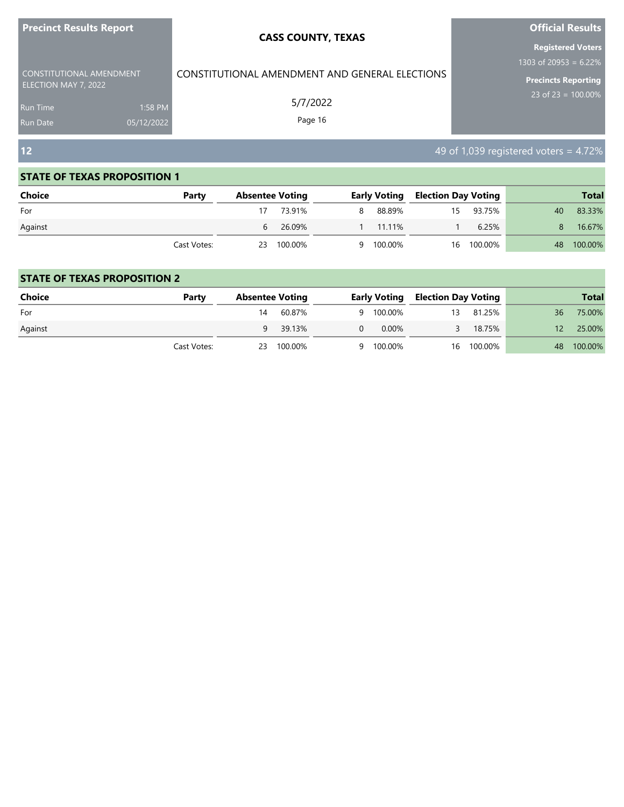| <b>Precinct Results Report</b>                                                         |                       | <b>CASS COUNTY, TEXAS</b>                                             | <b>Official Results</b>                                                                           |  |  |
|----------------------------------------------------------------------------------------|-----------------------|-----------------------------------------------------------------------|---------------------------------------------------------------------------------------------------|--|--|
| CONSTITUTIONAL AMENDMENT<br>ELECTION MAY 7, 2022<br><b>Run Time</b><br><b>Run Date</b> | 1:58 PM<br>05/12/2022 | CONSTITUTIONAL AMENDMENT AND GENERAL ELECTIONS<br>5/7/2022<br>Page 16 | <b>Registered Voters</b><br>1303 of 20953 = 6.22%<br>Precincts Reporting<br>23 of 23 = $100.00\%$ |  |  |
| 12                                                                                     |                       |                                                                       | 49 of 1,039 registered voters = 4.72%                                                             |  |  |

| <b>Choice</b> | Party       | <b>Absentee Voting</b> |            |   |           | <b>Early Voting Election Day Voting</b> |            |    | <b>Total</b> |
|---------------|-------------|------------------------|------------|---|-----------|-----------------------------------------|------------|----|--------------|
| For           |             |                        | 73.91%     | 8 | 88.89%    | 15                                      | 93.75%     | 40 | 83.33%       |
| Against       |             |                        | 6 26.09%   |   | 1 11.11%  |                                         | 6.25%      | 8. | 16.67%       |
|               | Cast Votes: |                        | 23 100.00% |   | 9 100.00% |                                         | 16 100.00% |    | 48 100.00%   |

| <b>Choice</b> | Party       | <b>Absentee Voting</b> |            |   | <b>Early Voting</b> | <b>Election Day Voting</b> |            |     | <b>Total</b> |
|---------------|-------------|------------------------|------------|---|---------------------|----------------------------|------------|-----|--------------|
| For           |             | 14                     | 60.87%     |   | 9 100.00%           | 13                         | 81.25%     | 36  | 75.00%       |
| Against       |             |                        | 9 39.13%   | 0 | $0.00\%$            |                            | 18.75%     | 12. | 25.00%       |
|               | Cast Votes: |                        | 23 100.00% |   | 9 100.00%           |                            | 16 100.00% | 48  | 100.00%      |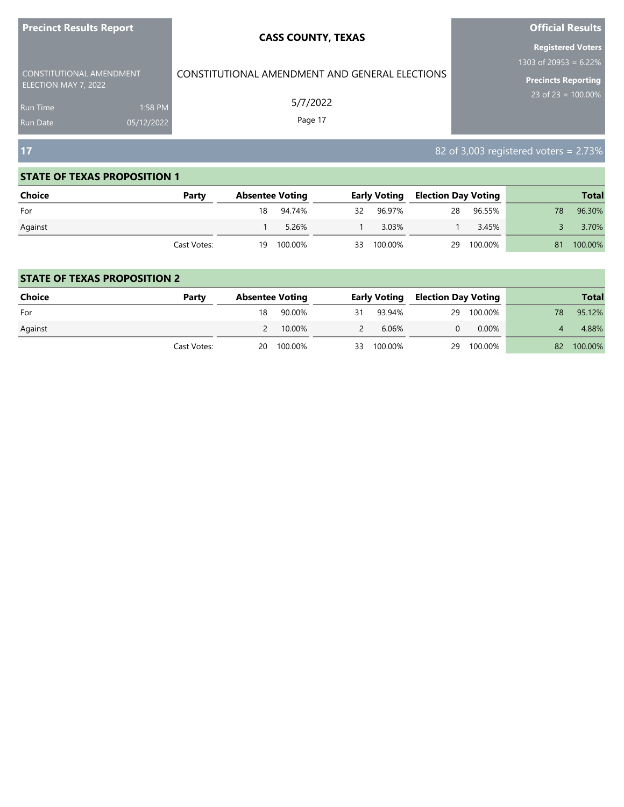| <b>Precinct Results Report</b> |            | <b>CASS COUNTY, TEXAS</b>                      | <b>Official Results</b>                  |
|--------------------------------|------------|------------------------------------------------|------------------------------------------|
|                                |            |                                                | <b>Registered Voters</b>                 |
| CONSTITUTIONAL AMENDMENT       |            | CONSTITUTIONAL AMENDMENT AND GENERAL ELECTIONS | 1303 of 20953 = $6.22\%$                 |
| ELECTION MAY 7, 2022           |            |                                                | Precincts Reporting                      |
| <b>Run Time</b>                | 1:58 PM    | 5/7/2022                                       | 23 of 23 = $100.00\%$                    |
| <b>Run Date</b>                | 05/12/2022 | Page 17                                        |                                          |
| 17                             |            |                                                | 82 of 3,003 registered voters = $2.73\%$ |

| <b>Choice</b> | Party       | <b>Absentee Voting</b> | <b>Early Voting</b> | <b>Election Day Voting</b> |         |    | <b>Total</b> |
|---------------|-------------|------------------------|---------------------|----------------------------|---------|----|--------------|
| For           |             | 18 94.74%              | 32 96.97%           | 28                         | 96.55%  | 78 | 96.30%       |
| Against       |             | 5.26%                  | 3.03%               |                            | 3.45%   |    | 3.70%        |
|               | Cast Votes: | 19 100.00%             | 33 100.00%          | 29                         | 100.00% | 81 | 100.00%      |

| <b>Choice</b> | Party       |    | <b>Absentee Voting</b> |               | <b>Early Voting</b> | Election Day Voting |          |     | <b>Total</b> |
|---------------|-------------|----|------------------------|---------------|---------------------|---------------------|----------|-----|--------------|
| For           |             | 18 | 90.00%                 | 31            | 93.94%              | 29                  | 100.00%  | 78. | 95.12%       |
| Against       |             |    | 10.00%                 | $\mathcal{P}$ | 6.06%               |                     | $0.00\%$ |     | 4.88%        |
|               | Cast Votes: |    | 20 100.00%             |               | 33 100.00%          | 29                  | 100.00%  | 82  | 100.00%      |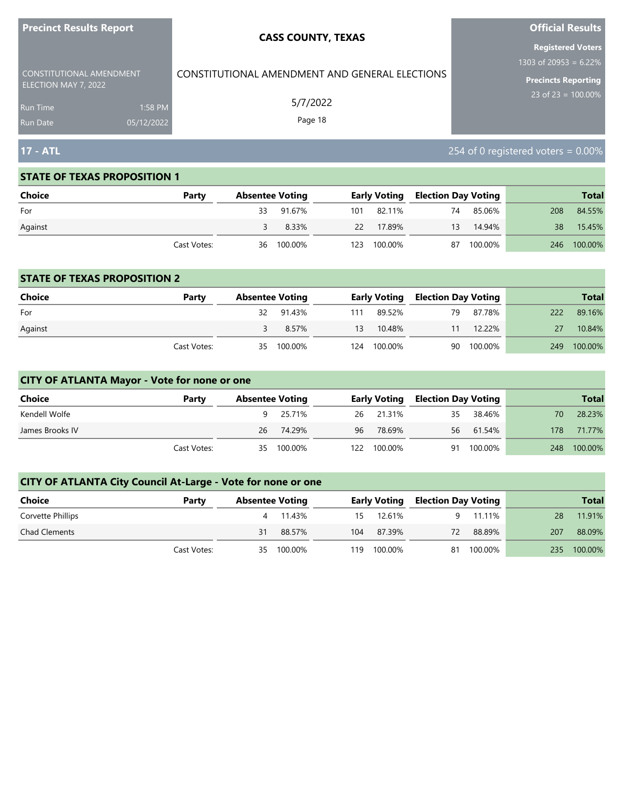| <b>Precinct Results Report</b>                             |                       | <b>CASS COUNTY, TEXAS</b>                      | <b>Official Results</b>                                                         |
|------------------------------------------------------------|-----------------------|------------------------------------------------|---------------------------------------------------------------------------------|
| CONSTITUTIONAL AMENDMENT                                   |                       | CONSTITUTIONAL AMENDMENT AND GENERAL ELECTIONS | <b>Registered Voters</b><br>1303 of 20953 = 6.22%<br><b>Precincts Reporting</b> |
| ELECTION MAY 7, 2022<br><b>Run Time</b><br><b>Run Date</b> | 1:58 PM<br>05/12/2022 | 5/7/2022<br>Page 18                            | $23$ of 23 = 100.00%                                                            |
| 17 - ATL                                                   |                       |                                                | 254 of 0 registered voters = $0.00\%$                                           |

| Choice  | Party       | <b>Absentee Voting</b> |      |            |    | <b>Early Voting Election Day Voting</b> |     | <b>Total</b> |
|---------|-------------|------------------------|------|------------|----|-----------------------------------------|-----|--------------|
| For     |             | 33 91.67%              |      | 101 82.11% | 74 | 85.06%                                  | 208 | 84.55%       |
| Against |             | 8.33%                  | 22   | 17.89%     | 13 | 14.94%                                  | 38  | 15.45%       |
|         | Cast Votes: | 36 100.00%             | 123. | 100.00%    | 87 | 100.00%                                 | 246 | 100.00%      |

#### **STATE OF TEXAS PROPOSITION 2**

| <b>Choice</b> | Party       | <b>Absentee Voting</b> |            |     |             | <b>Early Voting Election Day Voting</b> |            |     | <b>Total</b> |
|---------------|-------------|------------------------|------------|-----|-------------|-----------------------------------------|------------|-----|--------------|
| For           |             |                        | 32 91.43%  | 111 | 89.52%      | 79                                      | 87.78%     | 222 | 89.16%       |
| Against       |             |                        | 8.57%      | 13  | 10.48%      | 11                                      | 12.22%     | 27  | 10.84%       |
|               | Cast Votes: |                        | 35 100.00% |     | 124 100.00% |                                         | 90 100.00% | 249 | 100.00%      |

# **CITY OF ATLANTA Mayor - Vote for none or one**

| Choice          | Party       |    | <b>Absentee Voting</b> |    | <b>Early Voting</b> | Election Day Voting |           |     | <b>Total</b> |
|-----------------|-------------|----|------------------------|----|---------------------|---------------------|-----------|-----|--------------|
| Kendell Wolfe   |             |    | 25.71%                 |    | 26 21.31%           | 35                  | 38.46%    | 70. | 28.23%       |
| James Brooks IV |             | 26 | 74.29%                 | 96 | 78.69%              |                     | 56 61.54% | 178 | 71.77%       |
|                 | Cast Votes: | 35 | 100.00%                |    | 122 100.00%         | 91                  | 100.00%   | 248 | 100.00%      |

| Choice               | Party       |    | <b>Absentee Voting</b> |     |            | <b>Early Voting Election Day Voting</b> |         |     | <b>Total</b> |
|----------------------|-------------|----|------------------------|-----|------------|-----------------------------------------|---------|-----|--------------|
| Corvette Phillips    |             |    | 4 11.43%               |     | 15 12.61%  |                                         | 11.11%  | 28  | 11.91%       |
| <b>Chad Clements</b> |             | 31 | 88.57%                 |     | 104 87.39% | 72                                      | 88.89%  | 207 | 88.09%       |
|                      | Cast Votes: |    | 35 100.00%             | 119 | 100.00%    | 81                                      | 100.00% | 235 | 100.00%      |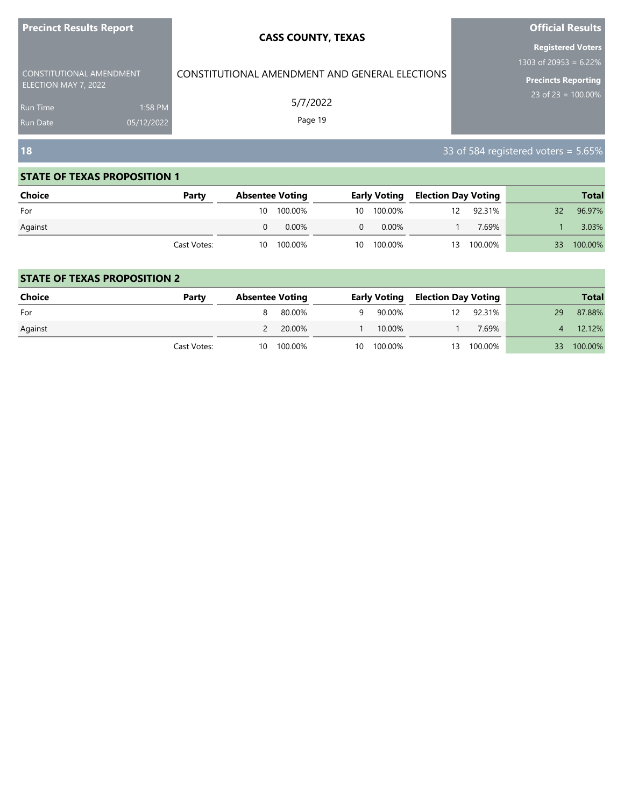| <b>Precinct Results Report</b> |            | <b>CASS COUNTY, TEXAS</b>                      | <b>Official Results</b>                              |
|--------------------------------|------------|------------------------------------------------|------------------------------------------------------|
| CONSTITUTIONAL AMENDMENT       |            | CONSTITUTIONAL AMENDMENT AND GENERAL ELECTIONS | <b>Registered Voters</b><br>1303 of 20953 = $6.22\%$ |
| ELECTION MAY 7, 2022           |            |                                                | Precincts Reporting                                  |
| <b>Run Time</b>                | 1:58 PM    | 5/7/2022                                       | 23 of 23 = $100.00\%$                                |
| <b>Run Date</b>                | 05/12/2022 | Page 19                                        |                                                      |
| <b>18</b>                      |            |                                                | 33 of 584 registered voters = 5.65%                  |

and the control of the control of the control of the control of the control of

#### **STATE OF TEXAS PROPOSITION 1**

and the state of the state of the state of the state of the

| <b>Choice</b> | Party       | <b>Absentee Voting</b> |    |            | <b>Early Voting Election Day Voting</b> |         |    | <b>Total</b> |
|---------------|-------------|------------------------|----|------------|-----------------------------------------|---------|----|--------------|
| For           |             | 10 100.00%             |    | 10 100.00% | 12                                      | 92.31%  | 32 | 96.97%       |
| Against       |             | 0.00%                  | 0  | 0.00%      |                                         | 7.69%   |    | 3.03%        |
|               | Cast Votes: | 10 100.00%             | 10 | 100.00%    | 13                                      | 100.00% | 33 | 100.00%      |

| Choice  | Party       | <b>Absentee Voting</b> |   |            | <b>Early Voting Election Day Voting</b> |            |      | <b>Total</b> |
|---------|-------------|------------------------|---|------------|-----------------------------------------|------------|------|--------------|
| For     |             | 80.00%                 | 9 | 90.00%     | 12                                      | 92.31%     | 29   | 87.88%       |
| Against |             | 20.00%                 |   | 10.00%     |                                         | 7.69%      |      | 12.12%       |
|         | Cast Votes: | 10 100.00%             |   | 10 100.00% |                                         | 13 100.00% | 33 · | 100.00%      |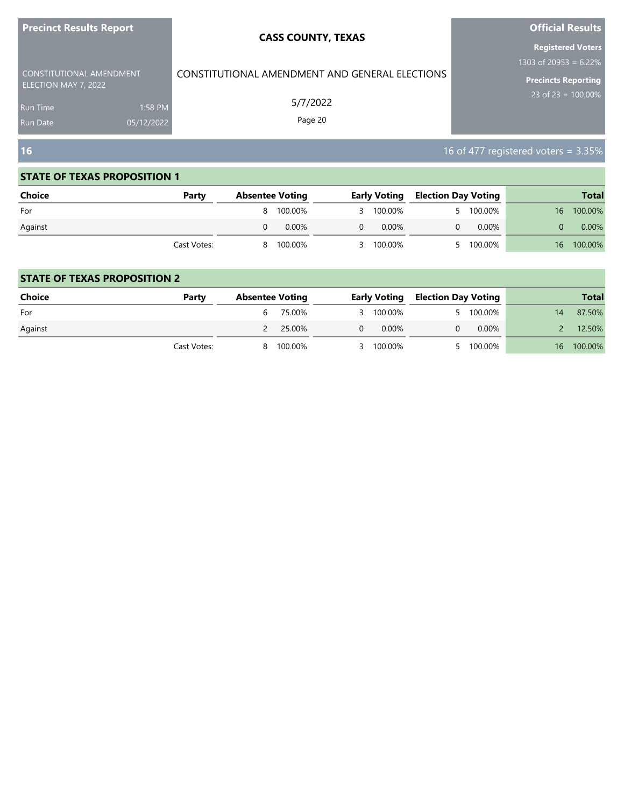| <b>Precinct Results Report</b>                                                         |                       | <b>CASS COUNTY, TEXAS</b>                                             | <b>Official Results</b>                                                                                     |
|----------------------------------------------------------------------------------------|-----------------------|-----------------------------------------------------------------------|-------------------------------------------------------------------------------------------------------------|
| CONSTITUTIONAL AMENDMENT<br>ELECTION MAY 7, 2022<br><b>Run Time</b><br><b>Run Date</b> | 1:58 PM<br>05/12/2022 | CONSTITUTIONAL AMENDMENT AND GENERAL ELECTIONS<br>5/7/2022<br>Page 20 | <b>Registered Voters</b><br>1303 of 20953 = $6.22\%$<br><b>Precincts Reporting</b><br>23 of $23 = 100.00\%$ |
| <b>16</b>                                                                              |                       |                                                                       | 16 of 477 registered voters = $3.35\%$                                                                      |

| <b>Choice</b> | Party       |   | <b>Absentee Voting</b> |   |           | <b>Early Voting Election Day Voting</b> |          |    | <b>Total</b> |
|---------------|-------------|---|------------------------|---|-----------|-----------------------------------------|----------|----|--------------|
| For           |             |   | 8 100.00%              |   | 3 100.00% |                                         | 100.00%  | 16 | 100.00%      |
| Against       |             |   | $0.00\%$               | 0 | $0.00\%$  |                                         | $0.00\%$ |    | 0.00%        |
|               | Cast Votes: | 8 | 100.00%                |   | 3 100.00% |                                         | 100.00%  |    | 16 100.00%   |

| <b>Choice</b> | Party       | <b>Absentee Voting</b> |          | <b>Early Voting</b> | <b>Election Day Voting</b> |         |    | <b>Total</b> |
|---------------|-------------|------------------------|----------|---------------------|----------------------------|---------|----|--------------|
| For           |             | 6 75.00%               |          | 3 100.00%           |                            | 100.00% |    | 87.50%       |
| Against       |             | 2 25.00%               | $\Omega$ | $0.00\%$            |                            | 0.00%   |    | 12.50%       |
|               | Cast Votes: | 8 100.00%              |          | 3 100.00%           |                            | 100.00% | 16 | 100.00%      |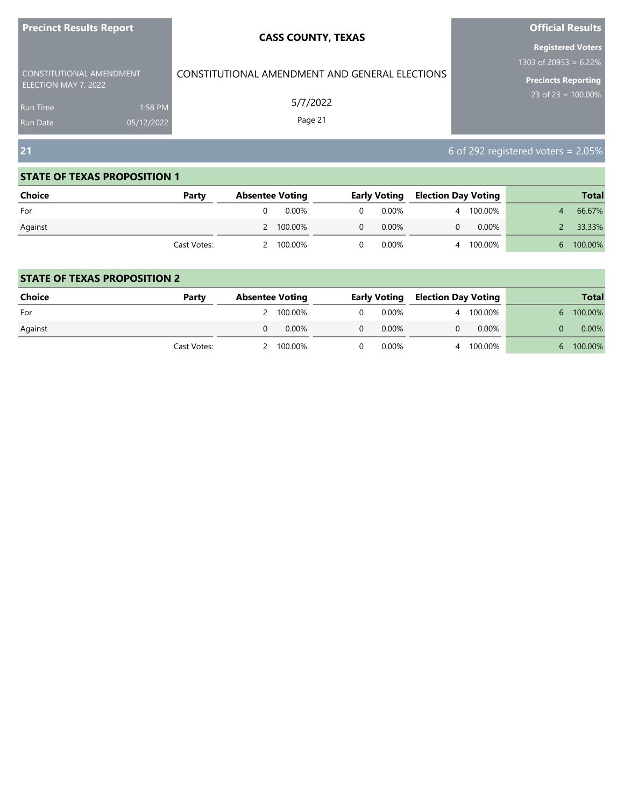| <b>Precinct Results Report</b>                          | <b>CASS COUNTY, TEXAS</b>                      | <b>Official Results</b>               |  |  |
|---------------------------------------------------------|------------------------------------------------|---------------------------------------|--|--|
|                                                         |                                                | <b>Registered Voters</b>              |  |  |
|                                                         |                                                | 1303 of 20953 = 6.22%                 |  |  |
| <b>CONSTITUTIONAL AMENDMENT</b><br>ELECTION MAY 7, 2022 | CONSTITUTIONAL AMENDMENT AND GENERAL ELECTIONS | <b>Precincts Reporting</b>            |  |  |
| 1:58 PM<br>Run Time                                     | 5/7/2022                                       | 23 of 23 = $100.00\%$                 |  |  |
| 05/12/2022<br><b>Run Date</b>                           | Page 21                                        |                                       |  |  |
|                                                         |                                                |                                       |  |  |
| 21                                                      |                                                | 6 of 292 registered voters = $2.05\%$ |  |  |

٠

#### **STATE OF TEXAS PROPOSITION 1**

| <b>Choice</b> | Party       | <b>Absentee Voting</b> |           |          |       | <b>Early Voting Election Day Voting</b> |           |   | <b>Total</b> |
|---------------|-------------|------------------------|-----------|----------|-------|-----------------------------------------|-----------|---|--------------|
| For           |             |                        | 0.00%     | $\Omega$ | 0.00% |                                         | 4 100.00% |   | 66.67%       |
| Against       |             |                        | 2 100.00% | $\Omega$ | 0.00% | 0                                       | 0.00%     |   | 33.33%       |
|               | Cast Votes: |                        | 2 100.00% |          | 0.00% |                                         | 4 100.00% | 6 | 100.00%      |

| <b>Choice</b> | Party       | <b>Absentee Voting</b> |           | <b>Early Voting</b> |   | <b>Election Day Voting</b> |    | <b>Total</b> |
|---------------|-------------|------------------------|-----------|---------------------|---|----------------------------|----|--------------|
| For           |             |                        | 2 100.00% | 0.00%               | 4 | 100.00%                    | 6  | 100.00%      |
| Against       |             |                        | $0.00\%$  | $0.00\%$            |   | 0.00%                      |    | 0.00%        |
|               | Cast Votes: |                        | 100.00%   | $0.00\%$            |   | 100.00%                    | 6. | 100.00%      |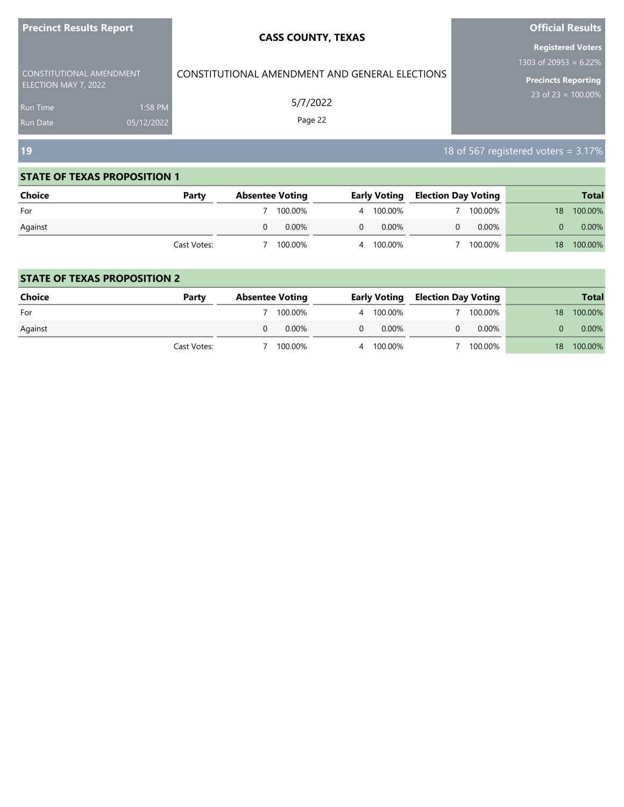| Precinct Results Report ,                        |            | <b>CASS COUNTY, TEXAS</b>                      | <b>Official Results</b>                              |  |  |
|--------------------------------------------------|------------|------------------------------------------------|------------------------------------------------------|--|--|
|                                                  |            |                                                | <b>Registered Voters</b><br>1303 of 20953 = $6.22\%$ |  |  |
| CONSTITUTIONAL AMENDMENT<br>ELECTION MAY 7, 2022 |            | CONSTITUTIONAL AMENDMENT AND GENERAL ELECTIONS | <b>Precincts Reporting</b>                           |  |  |
| Run Time                                         | 1:58 PM    | 5/7/2022                                       | 23 of $23 = 100.00\%$                                |  |  |
| Run Date                                         | 05/12/2022 | Page 22                                        |                                                      |  |  |
| <b>19</b>                                        |            |                                                | 18 of 567 registered voters = 3.17%                  |  |  |

ı

#### **STATE OF TEXAS PROPOSITION 1**

| <b>Choice</b> | Party       | <b>Absentee Voting</b> | <b>Early Voting</b> | <b>Election Day Voting</b> |          |                 | <b>Total</b> |
|---------------|-------------|------------------------|---------------------|----------------------------|----------|-----------------|--------------|
| For           |             | 100.00%                | 4 100.00%           |                            | 100.00%  | 18 <sup>°</sup> | 100.00%      |
| Against       |             | 0.00%                  | $0.00\%$<br>0       |                            | $0.00\%$ |                 | 0.00%        |
|               | Cast Votes: | 100.00%                | 4 100.00%           |                            | 100.00%  | 18.             | 100.00%      |

| <b>Choice</b> | Party       | <b>Absentee Voting</b> |          | <b>Early Voting</b> | <b>Election Day Voting</b> |          |    | <b>Total</b> |
|---------------|-------------|------------------------|----------|---------------------|----------------------------|----------|----|--------------|
| For           |             |                        | 100.00%  | 4 100.00%           |                            | 100.00%  | 18 | 100.00%      |
| Against       |             |                        | $0.00\%$ | $0.00\%$            |                            | $0.00\%$ |    | 0.00%        |
|               | Cast Votes: |                        | 100.00%  | 4 100.00%           |                            | 100.00%  | 18 | 100.00%      |